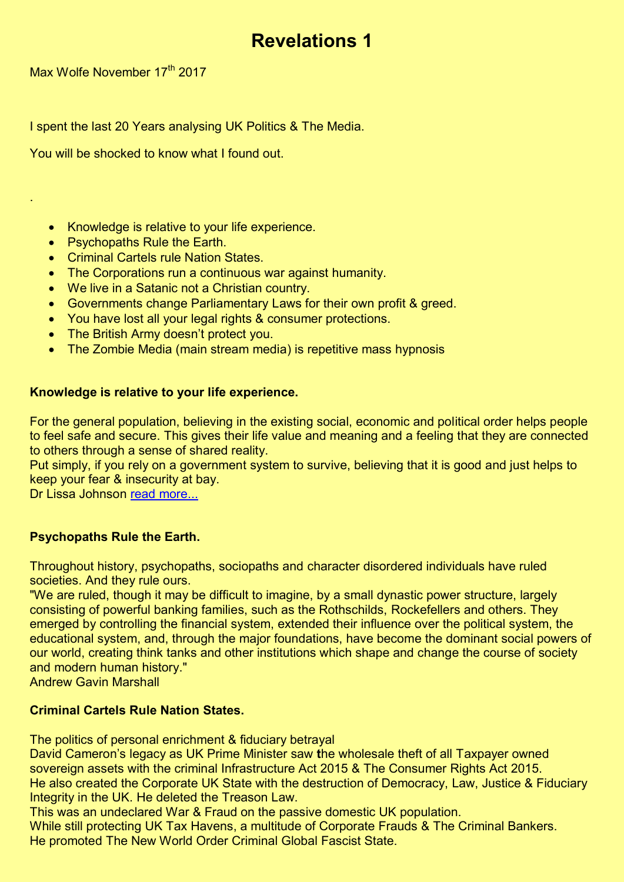# **Revelations 1**

Max Wolfe November 17<sup>th</sup> 2017

.

I spent the last 20 Years analysing UK Politics & The Media.

You will be shocked to know what I found out.

## • Knowledge is relative to your life experience.

- Psychopaths Rule the Earth.
- Criminal Cartels rule Nation States.
- The Corporations run a continuous war against humanity.
- We live in a Satanic not a Christian country.
- Governments change Parliamentary Laws for their own profit & greed.
- You have lost all your legal rights & consumer protections.
- The British Army doesn't protect you.
- The Zombie Media (main stream media) is repetitive mass hypnosis

## **Knowledge is relative to your life experience.**

For the general population, believing in the existing social, economic and political order helps people to feel safe and secure. This gives their life value and meaning and a feeling that they are connected to others through a sense of shared reality.

Put simply, if you rely on a government system to survive, believing that it is good and just helps to keep your fear & insecurity at bay.

Dr Lissa Johnson [read more...](https://goo.gl/RBZJZI)

# **Psychopaths Rule the Earth.**

Throughout history, psychopaths, sociopaths and character disordered individuals have ruled societies. And they rule ours.

"We are ruled, though it may be difficult to imagine, by a small dynastic power structure, largely consisting of powerful banking families, such as the Rothschilds, Rockefellers and others. They emerged by controlling the financial system, extended their influence over the political system, the educational system, and, through the major foundations, have become the dominant social powers of our world, creating think tanks and other institutions which shape and change the course of society and modern human history."

Andrew Gavin Marshall

#### **Criminal Cartels Rule Nation States.**

The politics of personal enrichment & fiduciary betrayal

David Cameron's legacy as UK Prime Minister saw **t**he wholesale theft of all Taxpayer owned sovereign assets with the criminal Infrastructure Act 2015 & The Consumer Rights Act 2015. He also created the Corporate UK State with the destruction of Democracy, Law, Justice & Fiduciary Integrity in the UK. He deleted the Treason Law.

This was an undeclared War & Fraud on the passive domestic UK population.

While still protecting UK Tax Havens, a multitude of Corporate Frauds & The Criminal Bankers. He promoted The New World Order Criminal Global Fascist State.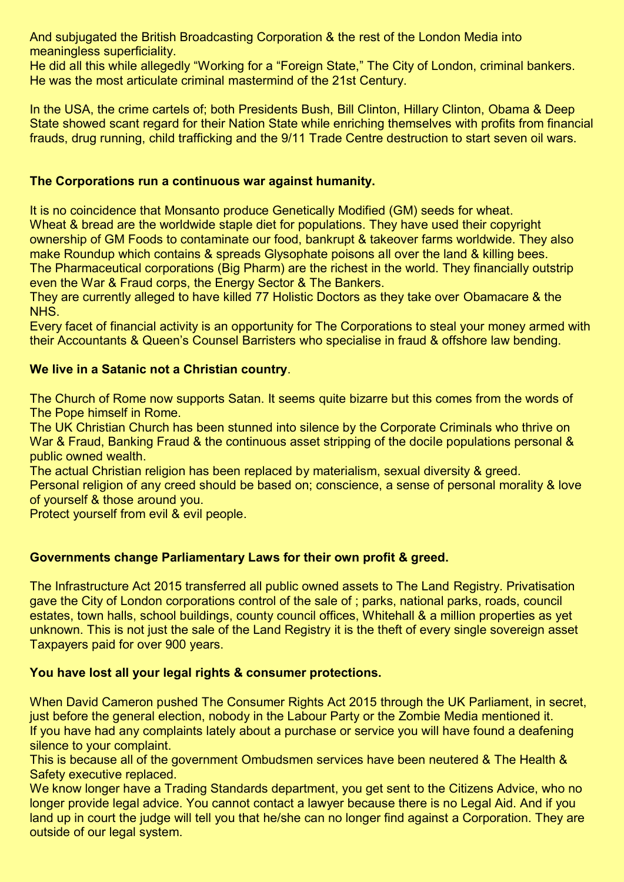And subjugated the British Broadcasting Corporation & the rest of the London Media into meaningless superficiality.

He did all this while allegedly "Working for a "Foreign State," The City of London, criminal bankers. He was the most articulate criminal mastermind of the 21st Century.

In the USA, the crime cartels of; both Presidents Bush, Bill Clinton, Hillary Clinton, Obama & Deep State showed scant regard for their Nation State while enriching themselves with profits from financial frauds, drug running, child trafficking and the 9/11 Trade Centre destruction to start seven oil wars.

## **The Corporations run a continuous war against humanity.**

It is no coincidence that Monsanto produce Genetically Modified (GM) seeds for wheat. Wheat & bread are the worldwide staple diet for populations. They have used their copyright ownership of GM Foods to contaminate our food, bankrupt & takeover farms worldwide. They also make Roundup which contains & spreads Glysophate poisons all over the land & killing bees. The Pharmaceutical corporations (Big Pharm) are the richest in the world. They financially outstrip even the War & Fraud corps, the Energy Sector & The Bankers.

They are currently alleged to have killed 77 Holistic Doctors as they take over Obamacare & the NHS.

Every facet of financial activity is an opportunity for The Corporations to steal your money armed with their Accountants & Queen's Counsel Barristers who specialise in fraud & offshore law bending.

## **We live in a Satanic not a Christian country**.

The Church of Rome now supports Satan. It seems quite bizarre but this comes from the words of The Pope himself in Rome.

The UK Christian Church has been stunned into silence by the Corporate Criminals who thrive on War & Fraud, Banking Fraud & the continuous asset stripping of the docile populations personal & public owned wealth.

The actual Christian religion has been replaced by materialism, sexual diversity & greed.

Personal religion of any creed should be based on; conscience, a sense of personal morality & love of yourself & those around you.

Protect yourself from evil & evil people.

# **Governments change Parliamentary Laws for their own profit & greed.**

The Infrastructure Act 2015 transferred all public owned assets to The Land Registry. Privatisation gave the City of London corporations control of the sale of ; parks, national parks, roads, council estates, town halls, school buildings, county council offices, Whitehall & a million properties as yet unknown. This is not just the sale of the Land Registry it is the theft of every single sovereign asset Taxpayers paid for over 900 years.

# **You have lost all your legal rights & consumer protections.**

When David Cameron pushed The Consumer Rights Act 2015 through the UK Parliament, in secret, just before the general election, nobody in the Labour Party or the Zombie Media mentioned it. If you have had any complaints lately about a purchase or service you will have found a deafening silence to your complaint.

This is because all of the government Ombudsmen services have been neutered & The Health & Safety executive replaced.

We know longer have a Trading Standards department, you get sent to the Citizens Advice, who no longer provide legal advice. You cannot contact a lawyer because there is no Legal Aid. And if you land up in court the judge will tell you that he/she can no longer find against a Corporation. They are outside of our legal system.